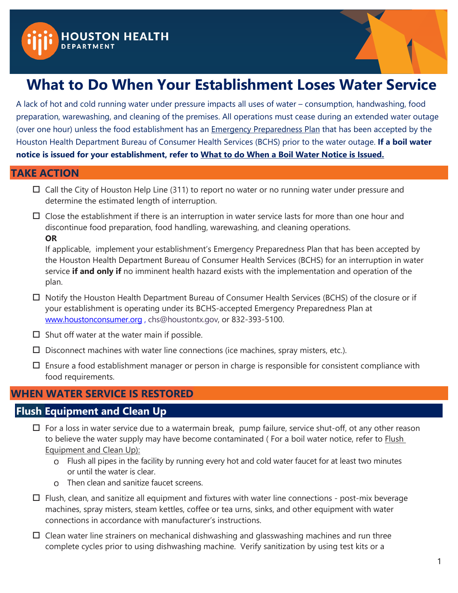



# **What to Do When Your Establishment Loses Water Service**

A lack of hot and cold running water under pressure impacts all uses of water – consumption, handwashing, food preparation, warewashing, and cleaning of the premises. All operations must cease during an extended water outage (over one hour) unless the food establishment has an **Emergency Preparedness Plan** that has been accepted by the Houston Health Department Bureau of Consumer Health Services (BCHS) prior to the water outage. **If a boil water notice is issued for your establishment, refer to What to do When a Boil Water Notice is Issued.**

#### **TAKE ACTION**

- $\Box$  Call the City of Houston Help Line (311) to report no water or no running water under pressure and determine the estimated length of interruption.
- $\Box$  Close the establishment if there is an interruption in water service lasts for more than one hour and discontinue food preparation, food handling, warewashing, and cleaning operations. **OR**

If applicable, implement your establishment's Emergency Preparedness Plan that has been accepted by the Houston Health Department Bureau of Consumer Health Services (BCHS) for an interruption in water service **if and only if** no imminent health hazard exists with the implementation and operation of the plan.

- □ Notify the Houston Health Department Bureau of Consumer Health Services (BCHS) of the closure or if your establishment is operating under its BCHS-accepted Emergency Preparedness Plan at [www.houstonconsumer.org](http://www.houstonconsumer.org/) , [chs@houstontx.gov,](mailto:chs@houstontx.gov) or 832-393-5100.
- $\square$  Shut off water at the water main if possible.
- $\square$  Disconnect machines with water line connections (ice machines, spray misters, etc.).
- $\Box$  Ensure a food establishment manager or person in charge is responsible for consistent compliance with food requirements.

## **WHEN WATER SERVICE IS RESTORED**

## **Flush Equipment and Clean Up**

- $\Box$  For a loss in water service due to a watermain break, pump failure, service shut-off, ot any other reason to believe the water supply may have become contaminated (For a boil water notice, refer to **Flush** Equipment and Clean Up):
	- Flush all pipes in the facility by running every hot and cold water faucet for at least two minutes or until the water is clear.
	- Then clean and sanitize faucet screens.
- $\Box$  Flush, clean, and sanitize all equipment and fixtures with water line connections post-mix beverage machines, spray misters, steam kettles, coffee or tea urns, sinks, and other equipment with water connections in accordance with manufacturer's instructions.
- $\Box$  Clean water line strainers on mechanical dishwashing and glasswashing machines and run three complete cycles prior to using dishwashing machine. Verify sanitization by using test kits or a